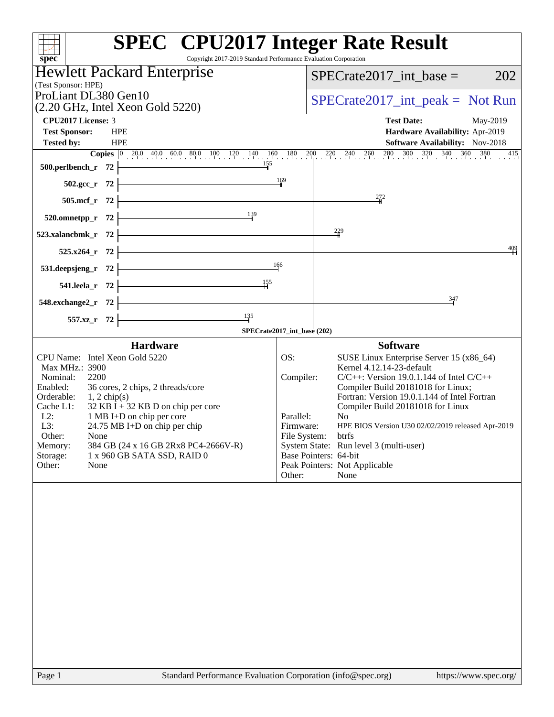| <b>Hewlett Packard Enterprise</b><br>SPECrate2017 int base $=$<br>202<br>(Test Sponsor: HPE)<br>ProLiant DL380 Gen10<br>$SPECrate2017\_int\_peak = Not Run$<br>(2.20 GHz, Intel Xeon Gold 5220)<br><b>CPU2017 License: 3</b><br><b>Test Date:</b><br>May-2019<br><b>HPE</b><br><b>Test Sponsor:</b><br>Hardware Availability: Apr-2019<br><b>Tested by:</b><br><b>HPE</b><br>Software Availability: Nov-2018<br>$\overline{\phantom{a}155}$<br>$500.$ perlbench_r 72<br>$502.\text{sec}_r$ 72<br>$\frac{169}{1}$<br>272<br>$505.\text{mcf}_r$ 72 $\overline{\qquad}$<br>520.omnetpp_r 72 $\overline{ )}$ 139<br>$\frac{229}{4}$<br>$523$ .xalancbmk_r 72<br><u> Alexandria de la contrada de la contrada de la contrada de la contrada de la contrada de la contrada de la c</u><br>$\frac{409}{4}$<br>$525.x264$ <sub>r</sub> 72<br>531.deepsjeng_r $72$ $\overline{\qquad}$ $\qquad \qquad$ $\qquad$ $\qquad$ $\qquad$ $\qquad$ $\qquad$ $\qquad$ $\qquad$ $\qquad$ $\qquad$ $\qquad$ $\qquad$ $\qquad$ $\qquad$ $\qquad$ $\qquad$ $\qquad$ $\qquad$ $\qquad$ $\qquad$ $\qquad$ $\qquad$ $\qquad$ $\qquad$ $\qquad$ $\qquad$ $\qquad$ $\qquad$ $\qquad$ $\qquad$ $\qquad$<br>541.leela_r 72 $\frac{155}{15}$<br>$548.$ exchange $2\text{ r}$ 72<br>347<br>$\overline{\phantom{135}}$<br>$557.xz$ <sub>r</sub> 72<br>SPECrate2017_int_base (202)<br><b>Hardware</b><br><b>Software</b><br>CPU Name: Intel Xeon Gold 5220<br>OS:<br>SUSE Linux Enterprise Server 15 (x86_64)<br>Kernel 4.12.14-23-default<br>Max MHz.: 3900<br>2200<br>$C/C++$ : Version 19.0.1.144 of Intel $C/C++$<br>Nominal:<br>Compiler:<br>Enabled:<br>36 cores, 2 chips, 2 threads/core<br>Compiler Build 20181018 for Linux;<br>Fortran: Version 19.0.1.144 of Intel Fortran<br>Orderable:<br>$1, 2$ chip(s)<br>$32$ KB I + 32 KB D on chip per core<br>Cache L1:<br>Compiler Build 20181018 for Linux<br>$L2$ :<br>1 MB I+D on chip per core<br>Parallel:<br>No<br>L3:<br>24.75 MB I+D on chip per chip<br>Firmware:<br>HPE BIOS Version U30 02/02/2019 released Apr-2019<br>Other:<br>None<br>File System:<br>btrfs<br>System State: Run level 3 (multi-user)<br>Memory:<br>384 GB (24 x 16 GB 2Rx8 PC4-2666V-R)<br>Base Pointers: 64-bit<br>Storage:<br>1 x 960 GB SATA SSD, RAID 0<br>Peak Pointers: Not Applicable<br>Other:<br>None<br>None<br>Other: | spec® | <b>SPEC<sup>®</sup></b> CPU2017 Integer Rate Result<br>Copyright 2017-2019 Standard Performance Evaluation Corporation |
|-------------------------------------------------------------------------------------------------------------------------------------------------------------------------------------------------------------------------------------------------------------------------------------------------------------------------------------------------------------------------------------------------------------------------------------------------------------------------------------------------------------------------------------------------------------------------------------------------------------------------------------------------------------------------------------------------------------------------------------------------------------------------------------------------------------------------------------------------------------------------------------------------------------------------------------------------------------------------------------------------------------------------------------------------------------------------------------------------------------------------------------------------------------------------------------------------------------------------------------------------------------------------------------------------------------------------------------------------------------------------------------------------------------------------------------------------------------------------------------------------------------------------------------------------------------------------------------------------------------------------------------------------------------------------------------------------------------------------------------------------------------------------------------------------------------------------------------------------------------------------------------------------------------------------------------------------------------------------------------------------------------------------------------------------------------------------------------------------------------------------------------------------------------------------------------------------------------------------------------------------------------------------------------------------------------------------------------|-------|------------------------------------------------------------------------------------------------------------------------|
| <b>Copies</b> $\begin{bmatrix} 0 & 20.0 & 40.0 & 60.0 & 80.0 & 100 & 120 & 140 & 160 & 180 & 200 & 220 & 240 & 260 & 280 & 300 & 320 & 340 & 360 & 380 & 415 \end{bmatrix}$                                                                                                                                                                                                                                                                                                                                                                                                                                                                                                                                                                                                                                                                                                                                                                                                                                                                                                                                                                                                                                                                                                                                                                                                                                                                                                                                                                                                                                                                                                                                                                                                                                                                                                                                                                                                                                                                                                                                                                                                                                                                                                                                                         |       |                                                                                                                        |
|                                                                                                                                                                                                                                                                                                                                                                                                                                                                                                                                                                                                                                                                                                                                                                                                                                                                                                                                                                                                                                                                                                                                                                                                                                                                                                                                                                                                                                                                                                                                                                                                                                                                                                                                                                                                                                                                                                                                                                                                                                                                                                                                                                                                                                                                                                                                     |       |                                                                                                                        |
|                                                                                                                                                                                                                                                                                                                                                                                                                                                                                                                                                                                                                                                                                                                                                                                                                                                                                                                                                                                                                                                                                                                                                                                                                                                                                                                                                                                                                                                                                                                                                                                                                                                                                                                                                                                                                                                                                                                                                                                                                                                                                                                                                                                                                                                                                                                                     |       |                                                                                                                        |
|                                                                                                                                                                                                                                                                                                                                                                                                                                                                                                                                                                                                                                                                                                                                                                                                                                                                                                                                                                                                                                                                                                                                                                                                                                                                                                                                                                                                                                                                                                                                                                                                                                                                                                                                                                                                                                                                                                                                                                                                                                                                                                                                                                                                                                                                                                                                     |       |                                                                                                                        |
|                                                                                                                                                                                                                                                                                                                                                                                                                                                                                                                                                                                                                                                                                                                                                                                                                                                                                                                                                                                                                                                                                                                                                                                                                                                                                                                                                                                                                                                                                                                                                                                                                                                                                                                                                                                                                                                                                                                                                                                                                                                                                                                                                                                                                                                                                                                                     |       |                                                                                                                        |
|                                                                                                                                                                                                                                                                                                                                                                                                                                                                                                                                                                                                                                                                                                                                                                                                                                                                                                                                                                                                                                                                                                                                                                                                                                                                                                                                                                                                                                                                                                                                                                                                                                                                                                                                                                                                                                                                                                                                                                                                                                                                                                                                                                                                                                                                                                                                     |       |                                                                                                                        |
|                                                                                                                                                                                                                                                                                                                                                                                                                                                                                                                                                                                                                                                                                                                                                                                                                                                                                                                                                                                                                                                                                                                                                                                                                                                                                                                                                                                                                                                                                                                                                                                                                                                                                                                                                                                                                                                                                                                                                                                                                                                                                                                                                                                                                                                                                                                                     |       |                                                                                                                        |
|                                                                                                                                                                                                                                                                                                                                                                                                                                                                                                                                                                                                                                                                                                                                                                                                                                                                                                                                                                                                                                                                                                                                                                                                                                                                                                                                                                                                                                                                                                                                                                                                                                                                                                                                                                                                                                                                                                                                                                                                                                                                                                                                                                                                                                                                                                                                     |       |                                                                                                                        |
|                                                                                                                                                                                                                                                                                                                                                                                                                                                                                                                                                                                                                                                                                                                                                                                                                                                                                                                                                                                                                                                                                                                                                                                                                                                                                                                                                                                                                                                                                                                                                                                                                                                                                                                                                                                                                                                                                                                                                                                                                                                                                                                                                                                                                                                                                                                                     |       |                                                                                                                        |
|                                                                                                                                                                                                                                                                                                                                                                                                                                                                                                                                                                                                                                                                                                                                                                                                                                                                                                                                                                                                                                                                                                                                                                                                                                                                                                                                                                                                                                                                                                                                                                                                                                                                                                                                                                                                                                                                                                                                                                                                                                                                                                                                                                                                                                                                                                                                     |       |                                                                                                                        |
|                                                                                                                                                                                                                                                                                                                                                                                                                                                                                                                                                                                                                                                                                                                                                                                                                                                                                                                                                                                                                                                                                                                                                                                                                                                                                                                                                                                                                                                                                                                                                                                                                                                                                                                                                                                                                                                                                                                                                                                                                                                                                                                                                                                                                                                                                                                                     |       |                                                                                                                        |
|                                                                                                                                                                                                                                                                                                                                                                                                                                                                                                                                                                                                                                                                                                                                                                                                                                                                                                                                                                                                                                                                                                                                                                                                                                                                                                                                                                                                                                                                                                                                                                                                                                                                                                                                                                                                                                                                                                                                                                                                                                                                                                                                                                                                                                                                                                                                     |       |                                                                                                                        |
|                                                                                                                                                                                                                                                                                                                                                                                                                                                                                                                                                                                                                                                                                                                                                                                                                                                                                                                                                                                                                                                                                                                                                                                                                                                                                                                                                                                                                                                                                                                                                                                                                                                                                                                                                                                                                                                                                                                                                                                                                                                                                                                                                                                                                                                                                                                                     |       |                                                                                                                        |
|                                                                                                                                                                                                                                                                                                                                                                                                                                                                                                                                                                                                                                                                                                                                                                                                                                                                                                                                                                                                                                                                                                                                                                                                                                                                                                                                                                                                                                                                                                                                                                                                                                                                                                                                                                                                                                                                                                                                                                                                                                                                                                                                                                                                                                                                                                                                     |       |                                                                                                                        |
|                                                                                                                                                                                                                                                                                                                                                                                                                                                                                                                                                                                                                                                                                                                                                                                                                                                                                                                                                                                                                                                                                                                                                                                                                                                                                                                                                                                                                                                                                                                                                                                                                                                                                                                                                                                                                                                                                                                                                                                                                                                                                                                                                                                                                                                                                                                                     |       |                                                                                                                        |
|                                                                                                                                                                                                                                                                                                                                                                                                                                                                                                                                                                                                                                                                                                                                                                                                                                                                                                                                                                                                                                                                                                                                                                                                                                                                                                                                                                                                                                                                                                                                                                                                                                                                                                                                                                                                                                                                                                                                                                                                                                                                                                                                                                                                                                                                                                                                     |       |                                                                                                                        |
|                                                                                                                                                                                                                                                                                                                                                                                                                                                                                                                                                                                                                                                                                                                                                                                                                                                                                                                                                                                                                                                                                                                                                                                                                                                                                                                                                                                                                                                                                                                                                                                                                                                                                                                                                                                                                                                                                                                                                                                                                                                                                                                                                                                                                                                                                                                                     |       |                                                                                                                        |
|                                                                                                                                                                                                                                                                                                                                                                                                                                                                                                                                                                                                                                                                                                                                                                                                                                                                                                                                                                                                                                                                                                                                                                                                                                                                                                                                                                                                                                                                                                                                                                                                                                                                                                                                                                                                                                                                                                                                                                                                                                                                                                                                                                                                                                                                                                                                     |       |                                                                                                                        |
|                                                                                                                                                                                                                                                                                                                                                                                                                                                                                                                                                                                                                                                                                                                                                                                                                                                                                                                                                                                                                                                                                                                                                                                                                                                                                                                                                                                                                                                                                                                                                                                                                                                                                                                                                                                                                                                                                                                                                                                                                                                                                                                                                                                                                                                                                                                                     |       |                                                                                                                        |
|                                                                                                                                                                                                                                                                                                                                                                                                                                                                                                                                                                                                                                                                                                                                                                                                                                                                                                                                                                                                                                                                                                                                                                                                                                                                                                                                                                                                                                                                                                                                                                                                                                                                                                                                                                                                                                                                                                                                                                                                                                                                                                                                                                                                                                                                                                                                     |       |                                                                                                                        |
|                                                                                                                                                                                                                                                                                                                                                                                                                                                                                                                                                                                                                                                                                                                                                                                                                                                                                                                                                                                                                                                                                                                                                                                                                                                                                                                                                                                                                                                                                                                                                                                                                                                                                                                                                                                                                                                                                                                                                                                                                                                                                                                                                                                                                                                                                                                                     |       |                                                                                                                        |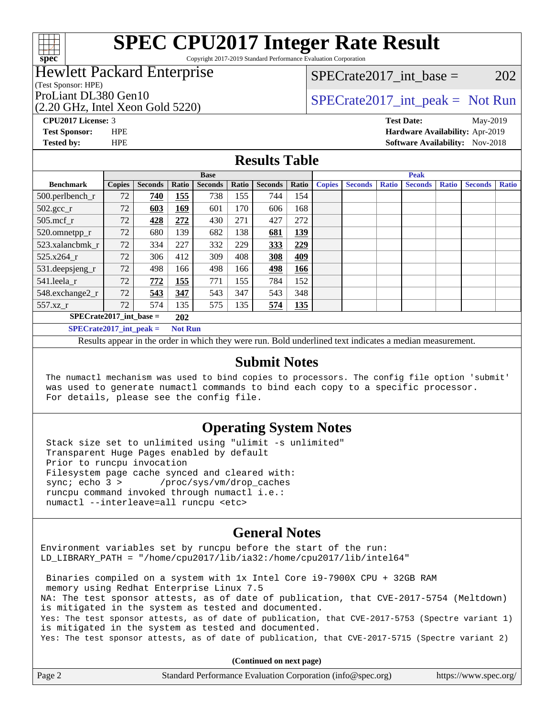

Copyright 2017-2019 Standard Performance Evaluation Corporation

### Hewlett Packard Enterprise

(Test Sponsor: HPE)

(2.20 GHz, Intel Xeon Gold 5220)

SPECrate2017 int\_base =  $202$ 

### ProLiant DL380 Gen10  $SPECrate2017$ \_int\_peak = Not Run

**[CPU2017 License:](http://www.spec.org/auto/cpu2017/Docs/result-fields.html#CPU2017License)** 3 **[Test Date:](http://www.spec.org/auto/cpu2017/Docs/result-fields.html#TestDate)** May-2019 **[Test Sponsor:](http://www.spec.org/auto/cpu2017/Docs/result-fields.html#TestSponsor)** HPE **[Hardware Availability:](http://www.spec.org/auto/cpu2017/Docs/result-fields.html#HardwareAvailability)** Apr-2019 **[Tested by:](http://www.spec.org/auto/cpu2017/Docs/result-fields.html#Testedby)** HPE **HPE [Software Availability:](http://www.spec.org/auto/cpu2017/Docs/result-fields.html#SoftwareAvailability)** Nov-2018

### **[Results Table](http://www.spec.org/auto/cpu2017/Docs/result-fields.html#ResultsTable)**

|                             | <b>Base</b>   |                |                |                |       |                | <b>Peak</b> |               |                |              |                |              |                |              |
|-----------------------------|---------------|----------------|----------------|----------------|-------|----------------|-------------|---------------|----------------|--------------|----------------|--------------|----------------|--------------|
| <b>Benchmark</b>            | <b>Copies</b> | <b>Seconds</b> | Ratio          | <b>Seconds</b> | Ratio | <b>Seconds</b> | Ratio       | <b>Copies</b> | <b>Seconds</b> | <b>Ratio</b> | <b>Seconds</b> | <b>Ratio</b> | <b>Seconds</b> | <b>Ratio</b> |
| 500.perlbench_r             | 72            | 740            | 155            | 738            | 155   | 744            | 154         |               |                |              |                |              |                |              |
| $502.\text{gcc}_r$          | 72            | 603            | 169            | 601            | 170   | 606            | 168         |               |                |              |                |              |                |              |
| $505$ .mcf r                | 72            | 428            | 272            | 430            | 271   | 427            | 272         |               |                |              |                |              |                |              |
| 520.omnetpp_r               | 72            | 680            | 139            | 682            | 138   | 681            | 139         |               |                |              |                |              |                |              |
| 523.xalancbmk r             | 72            | 334            | 227            | 332            | 229   | 333            | 229         |               |                |              |                |              |                |              |
| 525.x264 r                  | 72            | 306            | 412            | 309            | 408   | 308            | 409         |               |                |              |                |              |                |              |
| 531.deepsjeng_r             | 72            | 498            | 166            | 498            | 166   | 498            | 166         |               |                |              |                |              |                |              |
| 541.leela r                 | 72            | 772            | 155            | 771            | 155   | 784            | 152         |               |                |              |                |              |                |              |
| 548.exchange2_r             | 72            | 543            | 347            | 543            | 347   | 543            | 348         |               |                |              |                |              |                |              |
| 557.xz r                    | 72            | 574            | 135            | 575            | 135   | 574            | 135         |               |                |              |                |              |                |              |
| $SPECrate2017$ int base =   |               |                | 202            |                |       |                |             |               |                |              |                |              |                |              |
| $SPECrate2017\_int\_peak =$ |               |                | <b>Not Run</b> |                |       |                |             |               |                |              |                |              |                |              |

Results appear in the [order in which they were run](http://www.spec.org/auto/cpu2017/Docs/result-fields.html#RunOrder). Bold underlined text [indicates a median measurement](http://www.spec.org/auto/cpu2017/Docs/result-fields.html#Median).

### **[Submit Notes](http://www.spec.org/auto/cpu2017/Docs/result-fields.html#SubmitNotes)**

 The numactl mechanism was used to bind copies to processors. The config file option 'submit' was used to generate numactl commands to bind each copy to a specific processor. For details, please see the config file.

### **[Operating System Notes](http://www.spec.org/auto/cpu2017/Docs/result-fields.html#OperatingSystemNotes)**

 Stack size set to unlimited using "ulimit -s unlimited" Transparent Huge Pages enabled by default Prior to runcpu invocation Filesystem page cache synced and cleared with: sync; echo 3 > /proc/sys/vm/drop\_caches runcpu command invoked through numactl i.e.: numactl --interleave=all runcpu <etc>

### **[General Notes](http://www.spec.org/auto/cpu2017/Docs/result-fields.html#GeneralNotes)**

Environment variables set by runcpu before the start of the run: LD\_LIBRARY\_PATH = "/home/cpu2017/lib/ia32:/home/cpu2017/lib/intel64"

 Binaries compiled on a system with 1x Intel Core i9-7900X CPU + 32GB RAM memory using Redhat Enterprise Linux 7.5 NA: The test sponsor attests, as of date of publication, that CVE-2017-5754 (Meltdown) is mitigated in the system as tested and documented. Yes: The test sponsor attests, as of date of publication, that CVE-2017-5753 (Spectre variant 1) is mitigated in the system as tested and documented. Yes: The test sponsor attests, as of date of publication, that CVE-2017-5715 (Spectre variant 2)

**(Continued on next page)**

| Page 2 | Standard Performance Evaluation Corporation (info@spec.org) | https://www.spec.org/ |
|--------|-------------------------------------------------------------|-----------------------|
|--------|-------------------------------------------------------------|-----------------------|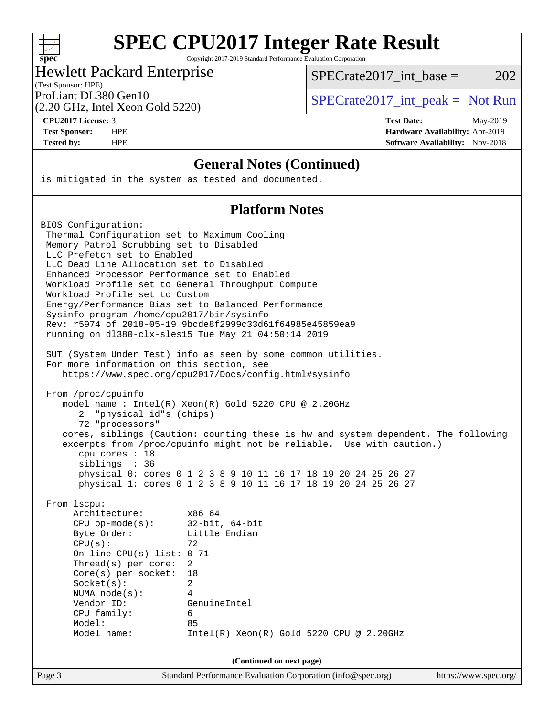| S | ١<br>U | ۱t | ι. |  |
|---|--------|----|----|--|

Copyright 2017-2019 Standard Performance Evaluation Corporation

### Hewlett Packard Enterprise

(Test Sponsor: HPE)

SPECrate2017 int\_base =  $202$ 

(2.20 GHz, Intel Xeon Gold 5220)

ProLiant DL380 Gen10  $SPECrate2017$ \_int\_peak = Not Run

**[CPU2017 License:](http://www.spec.org/auto/cpu2017/Docs/result-fields.html#CPU2017License)** 3 **[Test Date:](http://www.spec.org/auto/cpu2017/Docs/result-fields.html#TestDate)** May-2019 **[Test Sponsor:](http://www.spec.org/auto/cpu2017/Docs/result-fields.html#TestSponsor)** HPE **[Hardware Availability:](http://www.spec.org/auto/cpu2017/Docs/result-fields.html#HardwareAvailability)** Apr-2019 **[Tested by:](http://www.spec.org/auto/cpu2017/Docs/result-fields.html#Testedby)** HPE **HPE [Software Availability:](http://www.spec.org/auto/cpu2017/Docs/result-fields.html#SoftwareAvailability)** Nov-2018

### **[General Notes \(Continued\)](http://www.spec.org/auto/cpu2017/Docs/result-fields.html#GeneralNotes)**

is mitigated in the system as tested and documented.

### **[Platform Notes](http://www.spec.org/auto/cpu2017/Docs/result-fields.html#PlatformNotes)**

Page 3 Standard Performance Evaluation Corporation [\(info@spec.org\)](mailto:info@spec.org) <https://www.spec.org/> BIOS Configuration: Thermal Configuration set to Maximum Cooling Memory Patrol Scrubbing set to Disabled LLC Prefetch set to Enabled LLC Dead Line Allocation set to Disabled Enhanced Processor Performance set to Enabled Workload Profile set to General Throughput Compute Workload Profile set to Custom Energy/Performance Bias set to Balanced Performance Sysinfo program /home/cpu2017/bin/sysinfo Rev: r5974 of 2018-05-19 9bcde8f2999c33d61f64985e45859ea9 running on dl380-clx-sles15 Tue May 21 04:50:14 2019 SUT (System Under Test) info as seen by some common utilities. For more information on this section, see <https://www.spec.org/cpu2017/Docs/config.html#sysinfo> From /proc/cpuinfo model name : Intel(R) Xeon(R) Gold 5220 CPU @ 2.20GHz 2 "physical id"s (chips) 72 "processors" cores, siblings (Caution: counting these is hw and system dependent. The following excerpts from /proc/cpuinfo might not be reliable. Use with caution.) cpu cores : 18 siblings : 36 physical 0: cores 0 1 2 3 8 9 10 11 16 17 18 19 20 24 25 26 27 physical 1: cores 0 1 2 3 8 9 10 11 16 17 18 19 20 24 25 26 27 From lscpu: Architecture: x86\_64 CPU op-mode(s): 32-bit, 64-bit Byte Order: Little Endian  $CPU(s):$  72 On-line CPU(s) list: 0-71 Thread(s) per core: 2 Core(s) per socket: 18 Socket(s): 2 NUMA node(s): 4 Vendor ID: GenuineIntel CPU family: 6 Model: 85 Model name: Intel(R) Xeon(R) Gold 5220 CPU @ 2.20GHz **(Continued on next page)**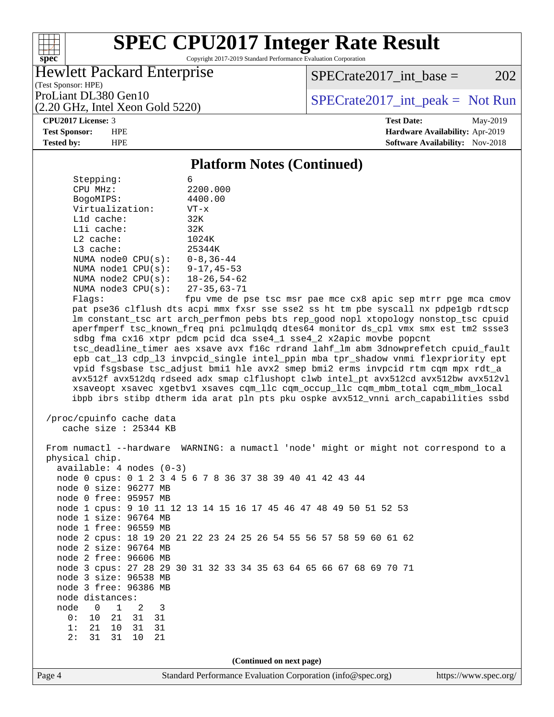

Copyright 2017-2019 Standard Performance Evaluation Corporation

### Hewlett Packard Enterprise

 $SPECTate2017\_int\_base = 202$ 

(Test Sponsor: HPE) (2.20 GHz, Intel Xeon Gold 5220)

ProLiant DL380 Gen10  $SPECrate2017$ \_int\_peak = Not Run

**[CPU2017 License:](http://www.spec.org/auto/cpu2017/Docs/result-fields.html#CPU2017License)** 3 **[Test Date:](http://www.spec.org/auto/cpu2017/Docs/result-fields.html#TestDate)** May-2019 **[Test Sponsor:](http://www.spec.org/auto/cpu2017/Docs/result-fields.html#TestSponsor)** HPE **[Hardware Availability:](http://www.spec.org/auto/cpu2017/Docs/result-fields.html#HardwareAvailability)** Apr-2019 **[Tested by:](http://www.spec.org/auto/cpu2017/Docs/result-fields.html#Testedby)** HPE **[Software Availability:](http://www.spec.org/auto/cpu2017/Docs/result-fields.html#SoftwareAvailability)** Nov-2018

### **[Platform Notes \(Continued\)](http://www.spec.org/auto/cpu2017/Docs/result-fields.html#PlatformNotes)**

| Stepping:               | 6                  |
|-------------------------|--------------------|
| CPU MHz:                | 2200.000           |
| BogoMIPS:               | 4400.00            |
| Virtualization:         | $VT - x$           |
| $L1d$ cache:            | 32K                |
| $L1i$ cache:            | 32K                |
| $L2$ cache:             | 1024K              |
| $L3$ cache:             | 25344K             |
| NUMA $node0$ $CPU(s)$ : | $0 - 8, 36 - 44$   |
| NUMA node1 CPU(s):      | $9 - 17, 45 - 53$  |
| NUMA node2 CPU(s):      | $18 - 26, 54 - 62$ |
| NUMA $node3$ $CPU(s):$  | $27 - 35,63 - 71$  |
| $F1$ ane:               | fnu wme de r       |

 Flags: fpu vme de pse tsc msr pae mce cx8 apic sep mtrr pge mca cmov pat pse36 clflush dts acpi mmx fxsr sse sse2 ss ht tm pbe syscall nx pdpe1gb rdtscp lm constant\_tsc art arch\_perfmon pebs bts rep\_good nopl xtopology nonstop\_tsc cpuid aperfmperf tsc\_known\_freq pni pclmulqdq dtes64 monitor ds\_cpl vmx smx est tm2 ssse3 sdbg fma cx16 xtpr pdcm pcid dca sse4\_1 sse4\_2 x2apic movbe popcnt tsc\_deadline\_timer aes xsave avx f16c rdrand lahf\_lm abm 3dnowprefetch cpuid\_fault epb cat\_l3 cdp\_l3 invpcid\_single intel\_ppin mba tpr\_shadow vnmi flexpriority ept vpid fsgsbase tsc\_adjust bmi1 hle avx2 smep bmi2 erms invpcid rtm cqm mpx rdt\_a avx512f avx512dq rdseed adx smap clflushopt clwb intel\_pt avx512cd avx512bw avx512vl xsaveopt xsavec xgetbv1 xsaves cqm\_llc cqm\_occup\_llc cqm\_mbm\_total cqm\_mbm\_local ibpb ibrs stibp dtherm ida arat pln pts pku ospke avx512\_vnni arch\_capabilities ssbd

```
 /proc/cpuinfo cache data
   cache size : 25344 KB
```
Page 4 Standard Performance Evaluation Corporation [\(info@spec.org\)](mailto:info@spec.org) <https://www.spec.org/> From numactl --hardware WARNING: a numactl 'node' might or might not correspond to a physical chip. available: 4 nodes (0-3) node 0 cpus: 0 1 2 3 4 5 6 7 8 36 37 38 39 40 41 42 43 44 node 0 size: 96277 MB node 0 free: 95957 MB node 1 cpus: 9 10 11 12 13 14 15 16 17 45 46 47 48 49 50 51 52 53 node 1 size: 96764 MB node 1 free: 96559 MB node 2 cpus: 18 19 20 21 22 23 24 25 26 54 55 56 57 58 59 60 61 62 node 2 size: 96764 MB node 2 free: 96606 MB node 3 cpus: 27 28 29 30 31 32 33 34 35 63 64 65 66 67 68 69 70 71 node 3 size: 96538 MB node 3 free: 96386 MB node distances: node 0 1 2 3 0: 10 21 31 31 1: 21 10 31 31 2: 31 31 10 21 **(Continued on next page)**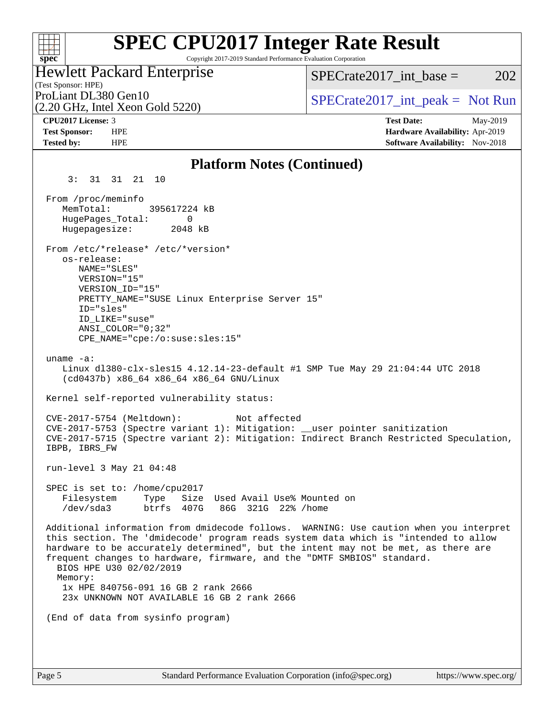### **[SPEC CPU2017 Integer Rate Result](http://www.spec.org/auto/cpu2017/Docs/result-fields.html#SPECCPU2017IntegerRateResult)**  $+\ +$ Copyright 2017-2019 Standard Performance Evaluation Corporation **[spec](http://www.spec.org/)** Hewlett Packard Enterprise  $SPECTate2017\_int\_base = 202$ (Test Sponsor: HPE) ProLiant DL380 Gen10  $SPECTA 5220$   $SPECTA 5220$ (2.20 GHz, Intel Xeon Gold 5220) **[CPU2017 License:](http://www.spec.org/auto/cpu2017/Docs/result-fields.html#CPU2017License)** 3 **[Test Date:](http://www.spec.org/auto/cpu2017/Docs/result-fields.html#TestDate)** May-2019 **[Test Sponsor:](http://www.spec.org/auto/cpu2017/Docs/result-fields.html#TestSponsor)** HPE **[Hardware Availability:](http://www.spec.org/auto/cpu2017/Docs/result-fields.html#HardwareAvailability)** Apr-2019 **[Tested by:](http://www.spec.org/auto/cpu2017/Docs/result-fields.html#Testedby)** HPE **[Software Availability:](http://www.spec.org/auto/cpu2017/Docs/result-fields.html#SoftwareAvailability)** Nov-2018 **[Platform Notes \(Continued\)](http://www.spec.org/auto/cpu2017/Docs/result-fields.html#PlatformNotes)** 3: 31 31 21 10 From /proc/meminfo MemTotal: 395617224 kB HugePages\_Total: 0 Hugepagesize: 2048 kB From /etc/\*release\* /etc/\*version\* os-release: NAME="SLES" VERSION="15" VERSION\_ID="15" PRETTY NAME="SUSE Linux Enterprise Server 15" ID="sles" ID\_LIKE="suse" ANSI\_COLOR="0;32" CPE\_NAME="cpe:/o:suse:sles:15" uname -a: Linux dl380-clx-sles15 4.12.14-23-default #1 SMP Tue May 29 21:04:44 UTC 2018 (cd0437b) x86\_64 x86\_64 x86\_64 GNU/Linux Kernel self-reported vulnerability status: CVE-2017-5754 (Meltdown): Not affected CVE-2017-5753 (Spectre variant 1): Mitigation: \_\_user pointer sanitization CVE-2017-5715 (Spectre variant 2): Mitigation: Indirect Branch Restricted Speculation, IBPB, IBRS\_FW run-level 3 May 21 04:48 SPEC is set to: /home/cpu2017 Filesystem Type Size Used Avail Use% Mounted on /dev/sda3 btrfs 407G 86G 321G 22% /home Additional information from dmidecode follows. WARNING: Use caution when you interpret this section. The 'dmidecode' program reads system data which is "intended to allow hardware to be accurately determined", but the intent may not be met, as there are frequent changes to hardware, firmware, and the "DMTF SMBIOS" standard. BIOS HPE U30 02/02/2019 Memory: 1x HPE 840756-091 16 GB 2 rank 2666 23x UNKNOWN NOT AVAILABLE 16 GB 2 rank 2666 (End of data from sysinfo program)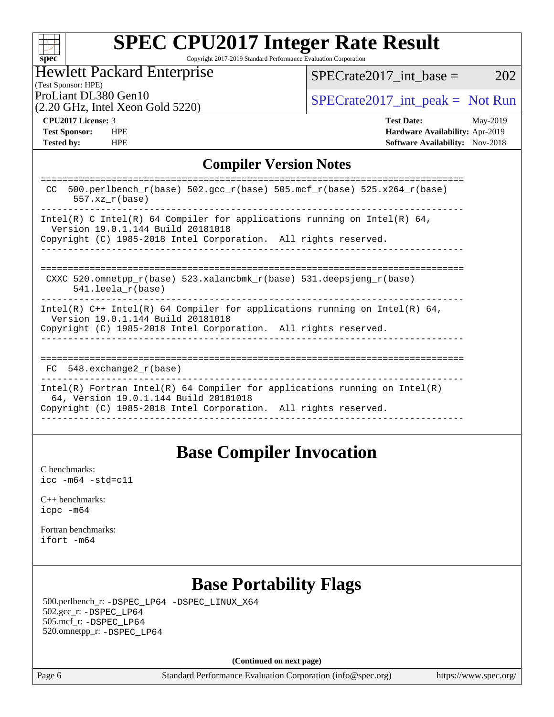|  | spe | U |  |
|--|-----|---|--|

Copyright 2017-2019 Standard Performance Evaluation Corporation

### Hewlett Packard Enterprise

 $SPECTate2017\_int\_base = 202$ 

### (Test Sponsor: HPE)

(2.20 GHz, Intel Xeon Gold 5220)

ProLiant DL380 Gen10<br>  $\begin{array}{r} \text{SPECTate2017\_int\_peak} = \text{Not Run} \\ \text{SPECTate2017\_int\_peak} = \text{Not Run} \end{array}$ 

**[Tested by:](http://www.spec.org/auto/cpu2017/Docs/result-fields.html#Testedby)** HPE **HPE [Software Availability:](http://www.spec.org/auto/cpu2017/Docs/result-fields.html#SoftwareAvailability)** Nov-2018

**[CPU2017 License:](http://www.spec.org/auto/cpu2017/Docs/result-fields.html#CPU2017License)** 3 **[Test Date:](http://www.spec.org/auto/cpu2017/Docs/result-fields.html#TestDate)** May-2019 **[Test Sponsor:](http://www.spec.org/auto/cpu2017/Docs/result-fields.html#TestSponsor)** HPE **[Hardware Availability:](http://www.spec.org/auto/cpu2017/Docs/result-fields.html#HardwareAvailability)** Apr-2019

### **[Compiler Version Notes](http://www.spec.org/auto/cpu2017/Docs/result-fields.html#CompilerVersionNotes)**

| 500.perlbench $r(base)$ 502.qcc $r(base)$ 505.mcf $r(base)$ 525.x264 $r(base)$<br>CC.<br>$557.xx$ $r(base)$         |
|---------------------------------------------------------------------------------------------------------------------|
| Intel(R) C Intel(R) 64 Compiler for applications running on Intel(R) 64,<br>Version 19.0.1.144 Build 20181018       |
| Copyright (C) 1985-2018 Intel Corporation. All rights reserved.                                                     |
|                                                                                                                     |
| CXXC 520.omnetpp $r(base)$ 523.xalancbmk $r(base)$ 531.deepsjeng $r(base)$<br>$541.$ leela r(base)                  |
| Intel(R) $C++$ Intel(R) 64 Compiler for applications running on Intel(R) 64,<br>Version 19.0.1.144 Build 20181018   |
| Copyright (C) 1985-2018 Intel Corporation. All rights reserved.                                                     |
|                                                                                                                     |
| FC 548. exchange2 r(base)                                                                                           |
| Intel(R) Fortran Intel(R) 64 Compiler for applications running on Intel(R)<br>64, Version 19.0.1.144 Build 20181018 |
| Copyright (C) 1985-2018 Intel Corporation. All rights reserved.                                                     |
|                                                                                                                     |

### **[Base Compiler Invocation](http://www.spec.org/auto/cpu2017/Docs/result-fields.html#BaseCompilerInvocation)**

[C benchmarks](http://www.spec.org/auto/cpu2017/Docs/result-fields.html#Cbenchmarks): [icc -m64 -std=c11](http://www.spec.org/cpu2017/results/res2019q3/cpu2017-20190624-15587.flags.html#user_CCbase_intel_icc_64bit_c11_33ee0cdaae7deeeab2a9725423ba97205ce30f63b9926c2519791662299b76a0318f32ddfffdc46587804de3178b4f9328c46fa7c2b0cd779d7a61945c91cd35)

[C++ benchmarks:](http://www.spec.org/auto/cpu2017/Docs/result-fields.html#CXXbenchmarks) [icpc -m64](http://www.spec.org/cpu2017/results/res2019q3/cpu2017-20190624-15587.flags.html#user_CXXbase_intel_icpc_64bit_4ecb2543ae3f1412ef961e0650ca070fec7b7afdcd6ed48761b84423119d1bf6bdf5cad15b44d48e7256388bc77273b966e5eb805aefd121eb22e9299b2ec9d9)

[Fortran benchmarks](http://www.spec.org/auto/cpu2017/Docs/result-fields.html#Fortranbenchmarks): [ifort -m64](http://www.spec.org/cpu2017/results/res2019q3/cpu2017-20190624-15587.flags.html#user_FCbase_intel_ifort_64bit_24f2bb282fbaeffd6157abe4f878425411749daecae9a33200eee2bee2fe76f3b89351d69a8130dd5949958ce389cf37ff59a95e7a40d588e8d3a57e0c3fd751)

## **[Base Portability Flags](http://www.spec.org/auto/cpu2017/Docs/result-fields.html#BasePortabilityFlags)**

 500.perlbench\_r: [-DSPEC\\_LP64](http://www.spec.org/cpu2017/results/res2019q3/cpu2017-20190624-15587.flags.html#b500.perlbench_r_basePORTABILITY_DSPEC_LP64) [-DSPEC\\_LINUX\\_X64](http://www.spec.org/cpu2017/results/res2019q3/cpu2017-20190624-15587.flags.html#b500.perlbench_r_baseCPORTABILITY_DSPEC_LINUX_X64) 502.gcc\_r: [-DSPEC\\_LP64](http://www.spec.org/cpu2017/results/res2019q3/cpu2017-20190624-15587.flags.html#suite_basePORTABILITY502_gcc_r_DSPEC_LP64) 505.mcf\_r: [-DSPEC\\_LP64](http://www.spec.org/cpu2017/results/res2019q3/cpu2017-20190624-15587.flags.html#suite_basePORTABILITY505_mcf_r_DSPEC_LP64) 520.omnetpp\_r: [-DSPEC\\_LP64](http://www.spec.org/cpu2017/results/res2019q3/cpu2017-20190624-15587.flags.html#suite_basePORTABILITY520_omnetpp_r_DSPEC_LP64)

**(Continued on next page)**

Page 6 Standard Performance Evaluation Corporation [\(info@spec.org\)](mailto:info@spec.org) <https://www.spec.org/>